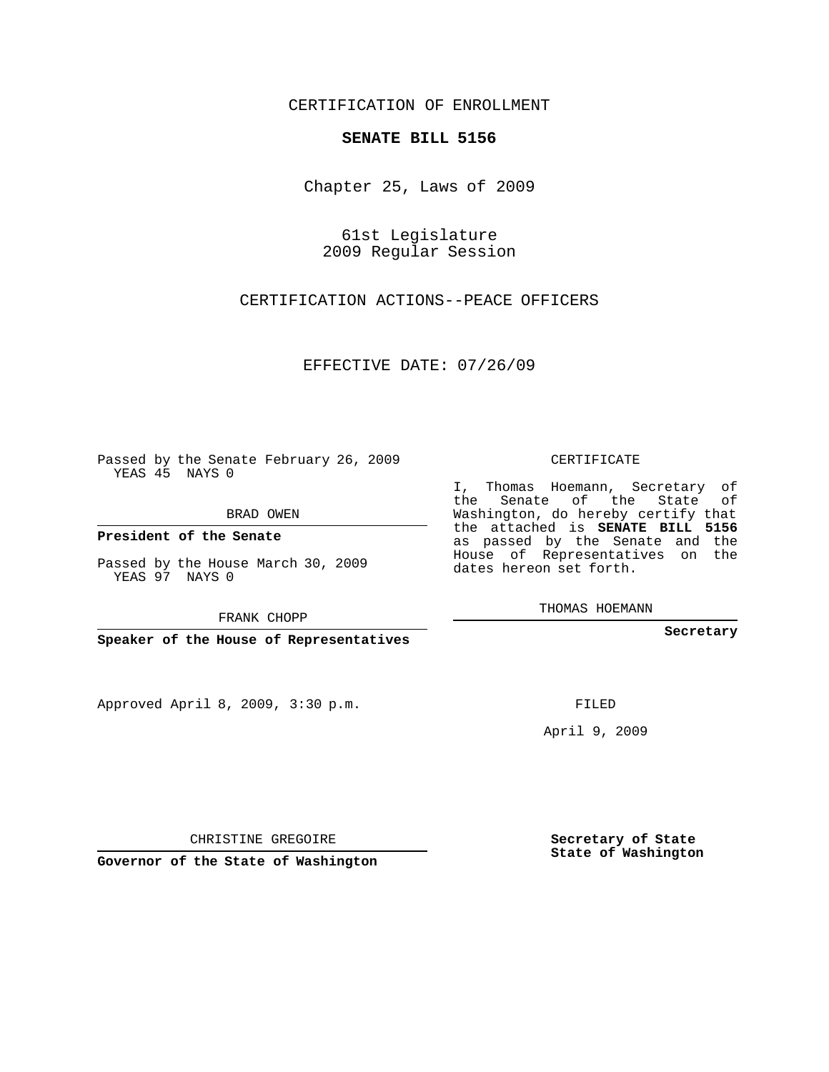## CERTIFICATION OF ENROLLMENT

## **SENATE BILL 5156**

Chapter 25, Laws of 2009

61st Legislature 2009 Regular Session

CERTIFICATION ACTIONS--PEACE OFFICERS

EFFECTIVE DATE: 07/26/09

Passed by the Senate February 26, 2009 YEAS 45 NAYS 0

BRAD OWEN

**President of the Senate**

Passed by the House March 30, 2009 YEAS 97 NAYS 0

FRANK CHOPP

**Speaker of the House of Representatives**

Approved April 8, 2009, 3:30 p.m.

CERTIFICATE

I, Thomas Hoemann, Secretary of the Senate of the State of Washington, do hereby certify that the attached is **SENATE BILL 5156** as passed by the Senate and the House of Representatives on the dates hereon set forth.

THOMAS HOEMANN

**Secretary**

FILED

April 9, 2009

**Secretary of State State of Washington**

CHRISTINE GREGOIRE

**Governor of the State of Washington**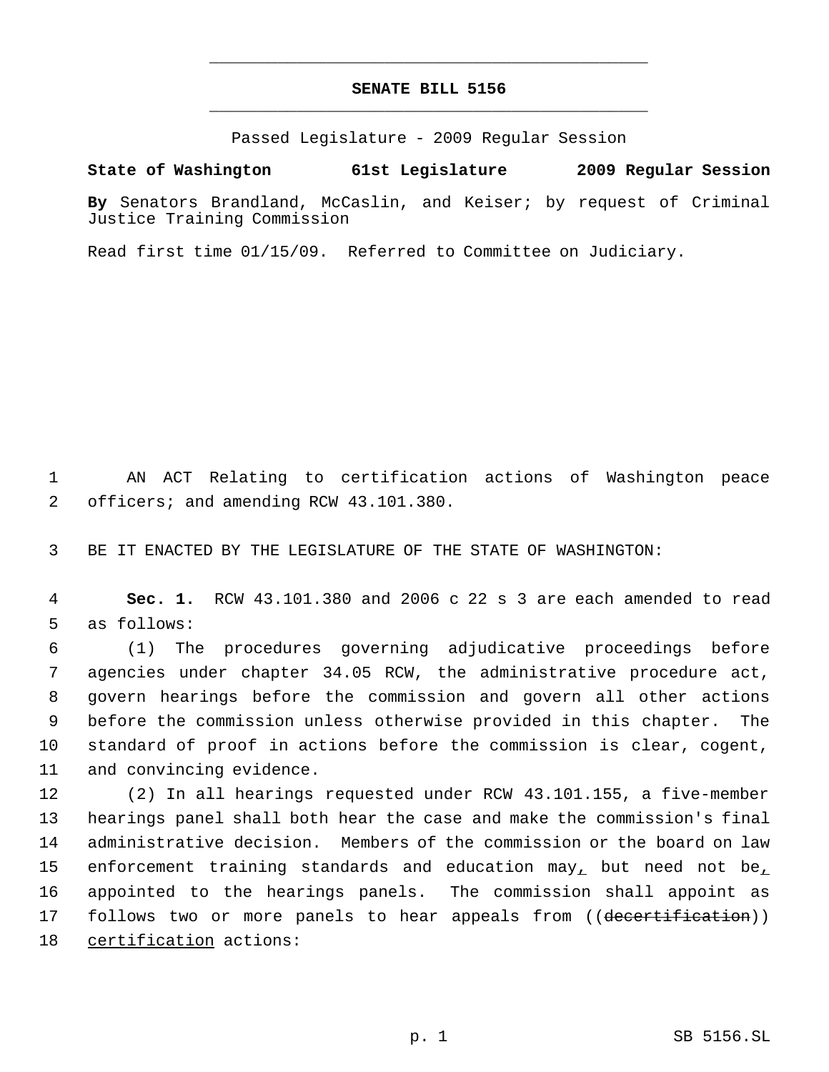## **SENATE BILL 5156** \_\_\_\_\_\_\_\_\_\_\_\_\_\_\_\_\_\_\_\_\_\_\_\_\_\_\_\_\_\_\_\_\_\_\_\_\_\_\_\_\_\_\_\_\_

\_\_\_\_\_\_\_\_\_\_\_\_\_\_\_\_\_\_\_\_\_\_\_\_\_\_\_\_\_\_\_\_\_\_\_\_\_\_\_\_\_\_\_\_\_

Passed Legislature - 2009 Regular Session

## **State of Washington 61st Legislature 2009 Regular Session**

**By** Senators Brandland, McCaslin, and Keiser; by request of Criminal Justice Training Commission

Read first time 01/15/09. Referred to Committee on Judiciary.

 1 AN ACT Relating to certification actions of Washington peace 2 officers; and amending RCW 43.101.380.

3 BE IT ENACTED BY THE LEGISLATURE OF THE STATE OF WASHINGTON:

 4 **Sec. 1.** RCW 43.101.380 and 2006 c 22 s 3 are each amended to read 5 as follows:

 (1) The procedures governing adjudicative proceedings before agencies under chapter 34.05 RCW, the administrative procedure act, govern hearings before the commission and govern all other actions before the commission unless otherwise provided in this chapter. The standard of proof in actions before the commission is clear, cogent, and convincing evidence.

 (2) In all hearings requested under RCW 43.101.155, a five-member hearings panel shall both hear the case and make the commission's final administrative decision. Members of the commission or the board on law 15 enforcement training standards and education  $\max_{L}$  but need not be $_{L}$  appointed to the hearings panels. The commission shall appoint as 17 follows two or more panels to hear appeals from ((decertification)) certification actions: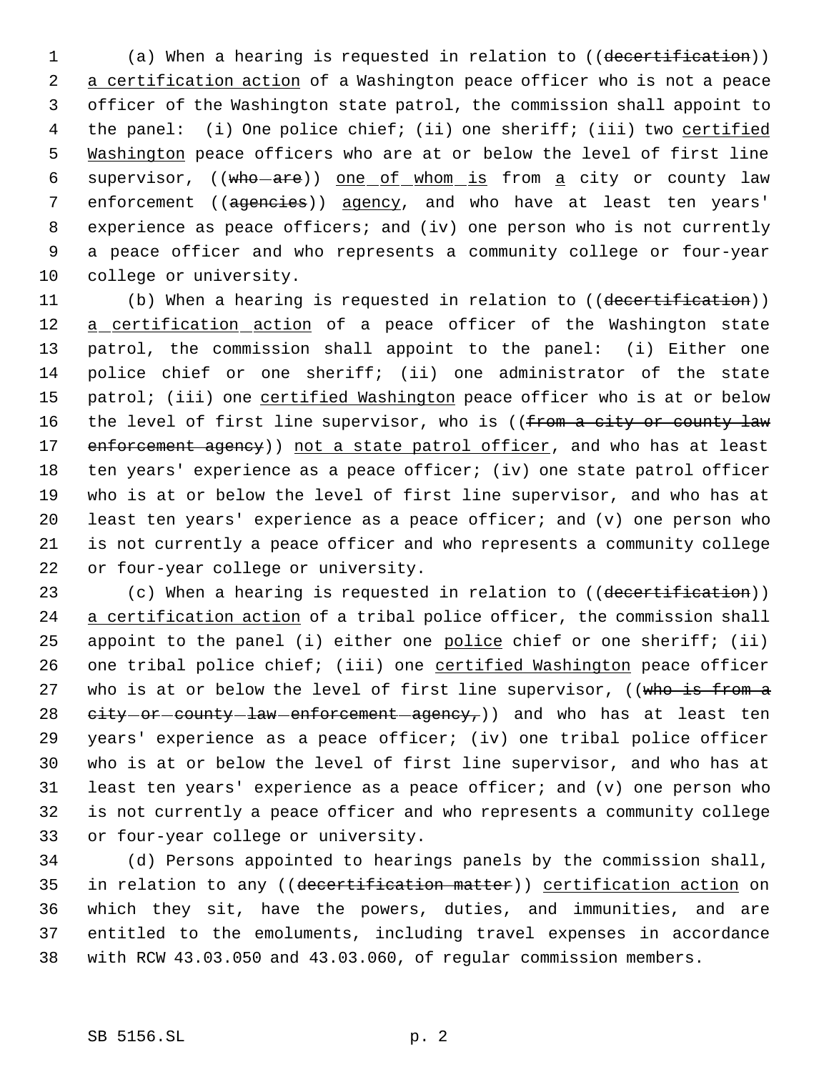1 (a) When a hearing is requested in relation to ((decertification)) 2 a certification action of a Washington peace officer who is not a peace 3 officer of the Washington state patrol, the commission shall appoint to 4 the panel: (i) One police chief; (ii) one sheriff; (iii) two certified 5 Washington peace officers who are at or below the level of first line 6 supervisor, ((who-are)) one of whom is from a city or county law 7 enforcement ((agencies)) agency, and who have at least ten years' 8 experience as peace officers; and (iv) one person who is not currently 9 a peace officer and who represents a community college or four-year 10 college or university.

11 (b) When a hearing is requested in relation to ((decertification)) 12 a certification action of a peace officer of the Washington state 13 patrol, the commission shall appoint to the panel: (i) Either one 14 police chief or one sheriff; (ii) one administrator of the state 15 patrol; (iii) one certified Washington peace officer who is at or below 16 the level of first line supervisor, who is ((from a city or county law 17 enforcement agency)) not a state patrol officer, and who has at least 18 ten years' experience as a peace officer; (iv) one state patrol officer 19 who is at or below the level of first line supervisor, and who has at 20 least ten years' experience as a peace officer; and (v) one person who 21 is not currently a peace officer and who represents a community college 22 or four-year college or university.

23 (c) When a hearing is requested in relation to ((decertification)) 24 a certification action of a tribal police officer, the commission shall 25 appoint to the panel (i) either one police chief or one sheriff; (ii) 26 one tribal police chief; (iii) one certified Washington peace officer 27 who is at or below the level of first line supervisor, ((who is from a 28  $e^{i t} y - o r$  county law enforcement agency, and who has at least ten 29 years' experience as a peace officer; (iv) one tribal police officer 30 who is at or below the level of first line supervisor, and who has at 31 least ten years' experience as a peace officer; and (v) one person who 32 is not currently a peace officer and who represents a community college 33 or four-year college or university.

 (d) Persons appointed to hearings panels by the commission shall, 35 in relation to any ((decertification matter)) certification action on which they sit, have the powers, duties, and immunities, and are entitled to the emoluments, including travel expenses in accordance with RCW 43.03.050 and 43.03.060, of regular commission members.